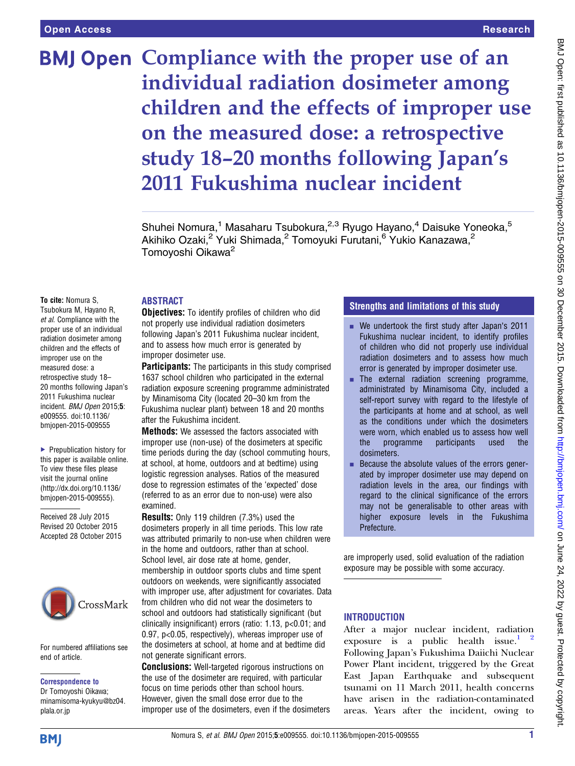# BMJ Open Compliance with the proper use of an individual radiation dosimeter among children and the effects of improper use on the measured dose: a retrospective study 18–20 months following Japan's 2011 Fukushima nuclear incident

Shuhei Nomura,<sup>1</sup> Masaharu Tsubokura,<sup>2,3</sup> Ryugo Hayano,<sup>4</sup> Daisuke Yoneoka,<sup>5</sup> Akihiko Ozaki,<sup>2</sup> Yuki Shimada,<sup>2</sup> Tomoyuki Furutani,<sup>6</sup> Yukio Kanazawa,<sup>2</sup> Tomovoshi Oikawa<sup>2</sup>

# ABSTRACT

To cite: Nomura S, Tsubokura M, Hayano R, et al. Compliance with the proper use of an individual radiation dosimeter among children and the effects of improper use on the measured dose: a retrospective study 18– 20 months following Japan's 2011 Fukushima nuclear incident. BMJ Open 2015:5: e009555. doi:10.1136/ bmjopen-2015-009555

▶ Prepublication history for this paper is available online. To view these files please visit the journal online [\(http://dx.doi.org/10.1136/](http://dx.doi.org/10.1136/bmjopen-2015-009555) [bmjopen-2015-009555](http://dx.doi.org/10.1136/bmjopen-2015-009555)).

Received 28 July 2015 Revised 20 October 2015 Accepted 28 October 2015



For numbered affiliations see end of article.

#### Correspondence to

Dr Tomoyoshi Oikawa; minamisoma-kyukyu@bz04. plala.or.jp

**Objectives:** To identify profiles of children who did not properly use individual radiation dosimeters following Japan's 2011 Fukushima nuclear incident, and to assess how much error is generated by improper dosimeter use.

**Participants:** The participants in this study comprised 1637 school children who participated in the external radiation exposure screening programme administrated by Minamisoma City (located 20–30 km from the Fukushima nuclear plant) between 18 and 20 months after the Fukushima incident.

**Methods:** We assessed the factors associated with improper use (non-use) of the dosimeters at specific time periods during the day (school commuting hours, at school, at home, outdoors and at bedtime) using logistic regression analyses. Ratios of the measured dose to regression estimates of the 'expected' dose (referred to as an error due to non-use) were also examined.

Results: Only 119 children (7.3%) used the dosimeters properly in all time periods. This low rate was attributed primarily to non-use when children were in the home and outdoors, rather than at school. School level, air dose rate at home, gender, membership in outdoor sports clubs and time spent outdoors on weekends, were significantly associated with improper use, after adjustment for covariates. Data from children who did not wear the dosimeters to school and outdoors had statistically significant (but clinically insignificant) errors (ratio: 1.13, p<0.01; and 0.97, p<0.05, respectively), whereas improper use of the dosimeters at school, at home and at bedtime did not generate significant errors.

Conclusions: Well-targeted rigorous instructions on the use of the dosimeter are required, with particular focus on time periods other than school hours. However, given the small dose error due to the improper use of the dosimeters, even if the dosimeters

# Strengths and limitations of this study

- We undertook the first study after Japan's 2011 Fukushima nuclear incident, to identify profiles of children who did not properly use individual radiation dosimeters and to assess how much error is generated by improper dosimeter use.
- **The external radiation screening programme,** administrated by Minamisoma City, included a self-report survey with regard to the lifestyle of the participants at home and at school, as well as the conditions under which the dosimeters were worn, which enabled us to assess how well the programme participants used the dosimeters.
- Because the absolute values of the errors generated by improper dosimeter use may depend on radiation levels in the area, our findings with regard to the clinical significance of the errors may not be generalisable to other areas with higher exposure levels in the Fukushima Prefecture.

are improperly used, solid evaluation of the radiation exposure may be possible with some accuracy.

## INTRODUCTION

After a major nuclear incident, radiation  $exposure$  is a public health issue.<sup>1</sup> Following Japan's Fukushima Daiichi Nuclear Power Plant incident, triggered by the Great East Japan Earthquake and subsequent tsunami on 11 March 2011, health concerns have arisen in the radiation-contaminated areas. Years after the incident, owing to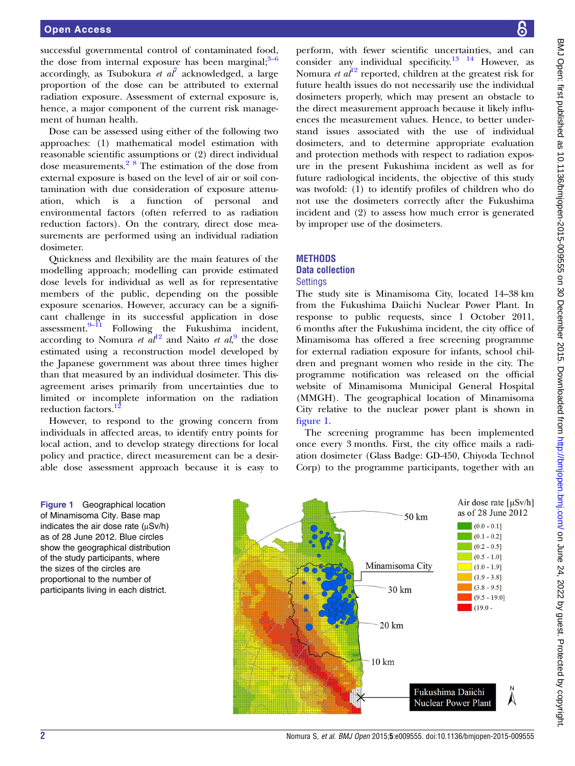successful governmental control of contaminated food, the dose from internal exposure has been marginal;  $3-6$ accordingly, as Tsubokura *et al*<sup> $7$ </sup> acknowledged, a large proportion of the dose can be attributed to external radiation exposure. Assessment of external exposure is, hence, a major component of the current risk management of human health.

Dose can be assessed using either of the following two approaches: (1) mathematical model estimation with reasonable scientific assumptions or (2) direct individual dose measurements[.2](#page-7-0) [8](#page-8-0) The estimation of the dose from external exposure is based on the level of air or soil contamination with due consideration of exposure attenuation, which is a function of personal and environmental factors (often referred to as radiation reduction factors). On the contrary, direct dose measurements are performed using an individual radiation dosimeter.

Quickness and flexibility are the main features of the modelling approach; modelling can provide estimated dose levels for individual as well as for representative members of the public, depending on the possible exposure scenarios. However, accuracy can be a significant challenge in its successful application in dose assessment. $9-\bar{11}$  $9-\bar{11}$  $9-\bar{11}$  Following the Fukushima incident, according to Nomura et  $al^{12}$  $al^{12}$  $al^{12}$  and Naito et  $al,^9$  $al,^9$  the dose estimated using a reconstruction model developed by the Japanese government was about three times higher than that measured by an individual dosimeter. This disagreement arises primarily from uncertainties due to limited or incomplete information on the radiation reduction factors.<sup>1</sup>

However, to respond to the growing concern from individuals in affected areas, to identify entry points for local action, and to develop strategy directions for local policy and practice, direct measurement can be a desirable dose assessment approach because it is easy to BMJ Open: first published as 10.1136/bmjopen-2015-009555 on 30 December 2015. Downloaded from http://bmjopen.bmj.com/ on June 24, 2022 by guest. Protected by copyright BMJ Open: first published as 10.1136/bmjopen-2015-009555 on 30 December 2015. Downloaded from <http://bmjopen.bmj.com/> on June 24, 2022 by guest. Protected by copyright.

perform, with fewer scientific uncertainties, and can consider any individual specificity. $13 \frac{14}{14}$  However, as Nomura *et al*<sup>[12](#page-8-0)</sup> reported, children at the greatest risk for future health issues do not necessarily use the individual dosimeters properly, which may present an obstacle to the direct measurement approach because it likely influences the measurement values. Hence, to better understand issues associated with the use of individual dosimeters, and to determine appropriate evaluation and protection methods with respect to radiation exposure in the present Fukushima incident as well as for future radiological incidents, the objective of this study was twofold: (1) to identify profiles of children who do not use the dosimeters correctly after the Fukushima incident and (2) to assess how much error is generated by improper use of the dosimeters.

## **MFTHODS** Data collection

# **Settings**

The study site is Minamisoma City, located 14–38 km from the Fukushima Daiichi Nuclear Power Plant. In response to public requests, since 1 October 2011, 6 months after the Fukushima incident, the city office of Minamisoma has offered a free screening programme for external radiation exposure for infants, school children and pregnant women who reside in the city. The programme notification was released on the official website of Minamisoma Municipal General Hospital (MMGH). The geographical location of Minamisoma City relative to the nuclear power plant is shown in figure 1.

The screening programme has been implemented once every 3 months. First, the city office mails a radiation dosimeter (Glass Badge: GD-450, Chiyoda Technol Corp) to the programme participants, together with an

Figure 1 Geographical location of Minamisoma City. Base map indicates the air dose rate (μSv/h) as of 28 June 2012. Blue circles show the geographical distribution of the study participants, where the sizes of the circles are proportional to the number of participants living in each district.

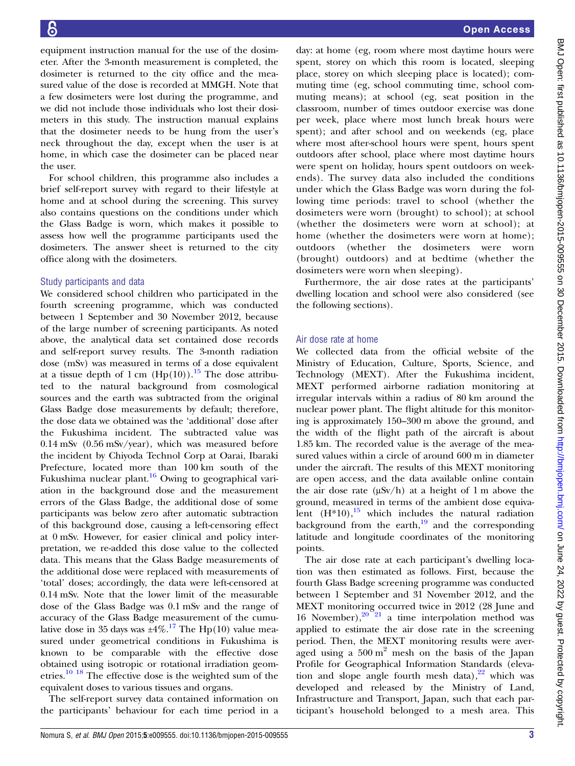equipment instruction manual for the use of the dosimeter. After the 3-month measurement is completed, the dosimeter is returned to the city office and the measured value of the dose is recorded at MMGH. Note that a few dosimeters were lost during the programme, and we did not include those individuals who lost their dosimeters in this study. The instruction manual explains that the dosimeter needs to be hung from the user's neck throughout the day, except when the user is at home, in which case the dosimeter can be placed near the user.

For school children, this programme also includes a brief self-report survey with regard to their lifestyle at home and at school during the screening. This survey also contains questions on the conditions under which the Glass Badge is worn, which makes it possible to assess how well the programme participants used the dosimeters. The answer sheet is returned to the city office along with the dosimeters.

## Study participants and data

We considered school children who participated in the fourth screening programme, which was conducted between 1 September and 30 November 2012, because of the large number of screening participants. As noted above, the analytical data set contained dose records and self-report survey results. The 3-month radiation dose (mSv) was measured in terms of a dose equivalent at a tissue depth of 1 cm  $(Hp(10))$ .<sup>[15](#page-8-0)</sup> The dose attributed to the natural background from cosmological sources and the earth was subtracted from the original Glass Badge dose measurements by default; therefore, the dose data we obtained was the 'additional' dose after the Fukushima incident. The subtracted value was 0.14 mSv (0.56 mSv/year), which was measured before the incident by Chiyoda Technol Corp at Oarai, Ibaraki Prefecture, located more than 100 km south of the Fukushima nuclear plant. $16$  Owing to geographical variation in the background dose and the measurement errors of the Glass Badge, the additional dose of some participants was below zero after automatic subtraction of this background dose, causing a left-censoring effect at 0 mSv. However, for easier clinical and policy interpretation, we re-added this dose value to the collected data. This means that the Glass Badge measurements of the additional dose were replaced with measurements of 'total' doses; accordingly, the data were left-censored at 0.14 mSv. Note that the lower limit of the measurable dose of the Glass Badge was 0.1 mSv and the range of accuracy of the Glass Badge measurement of the cumulative dose in 35 days was  $\pm 4\%$ .<sup>[17](#page-8-0)</sup> The Hp(10) value measured under geometrical conditions in Fukushima is known to be comparable with the effective dose obtained using isotropic or rotational irradiation geometries. $\frac{10^{18}}{8}$  The effective dose is the weighted sum of the equivalent doses to various tissues and organs.

The self-report survey data contained information on the participants' behaviour for each time period in a

day: at home (eg, room where most daytime hours were spent, storey on which this room is located, sleeping place, storey on which sleeping place is located); commuting time (eg, school commuting time, school commuting means); at school (eg, seat position in the classroom, number of times outdoor exercise was done per week, place where most lunch break hours were spent); and after school and on weekends (eg, place where most after-school hours were spent, hours spent outdoors after school, place where most daytime hours were spent on holiday, hours spent outdoors on weekends). The survey data also included the conditions under which the Glass Badge was worn during the following time periods: travel to school (whether the dosimeters were worn (brought) to school); at school (whether the dosimeters were worn at school); at home (whether the dosimeters were worn at home); outdoors (whether the dosimeters were worn (brought) outdoors) and at bedtime (whether the dosimeters were worn when sleeping).

Furthermore, the air dose rates at the participants' dwelling location and school were also considered (see the following sections).

# Air dose rate at home

We collected data from the official website of the Ministry of Education, Culture, Sports, Science, and Technology (MEXT). After the Fukushima incident, MEXT performed airborne radiation monitoring at irregular intervals within a radius of 80 km around the nuclear power plant. The flight altitude for this monitoring is approximately 150–300 m above the ground, and the width of the flight path of the aircraft is about 1.85 km. The recorded value is the average of the measured values within a circle of around 600 m in diameter under the aircraft. The results of this MEXT monitoring are open access, and the data available online contain the air dose rate  $(\mu Sv/h)$  at a height of 1 m above the ground, measured in terms of the ambient dose equivalent  $(H^*10)$ ,<sup>[15](#page-8-0)</sup> which includes the natural radiation background from the earth, $\frac{19}{19}$  $\frac{19}{19}$  $\frac{19}{19}$  and the corresponding latitude and longitude coordinates of the monitoring points.

The air dose rate at each participant's dwelling location was then estimated as follows. First, because the fourth Glass Badge screening programme was conducted between 1 September and 31 November 2012, and the MEXT monitoring occurred twice in 2012 (28 June and 16 November), $2^{0.21}$  a time interpolation method was applied to estimate the air dose rate in the screening period. Then, the MEXT monitoring results were averaged using a  $500 \text{ m}^2$  mesh on the basis of the Japan Profile for Geographical Information Standards (elevation and slope angle fourth mesh data),  $2^2$  which was developed and released by the Ministry of Land, Infrastructure and Transport, Japan, such that each participant's household belonged to a mesh area. This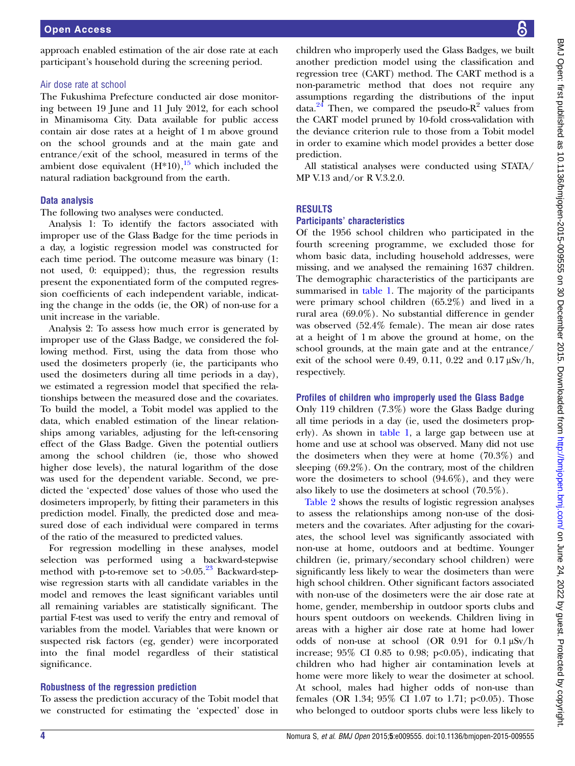approach enabled estimation of the air dose rate at each participant's household during the screening period.

#### Air dose rate at school

The Fukushima Prefecture conducted air dose monitoring between 19 June and 11 July 2012, for each school in Minamisoma City. Data available for public access contain air dose rates at a height of 1 m above ground on the school grounds and at the main gate and entrance/exit of the school, measured in terms of the ambient dose equivalent  $(H^*10),^{15}$  $(H^*10),^{15}$  $(H^*10),^{15}$  which included the natural radiation background from the earth.

### Data analysis

The following two analyses were conducted.

Analysis 1: To identify the factors associated with improper use of the Glass Badge for the time periods in a day, a logistic regression model was constructed for each time period. The outcome measure was binary (1: not used, 0: equipped); thus, the regression results present the exponentiated form of the computed regression coefficients of each independent variable, indicating the change in the odds (ie, the OR) of non-use for a unit increase in the variable.

Analysis 2: To assess how much error is generated by improper use of the Glass Badge, we considered the following method. First, using the data from those who used the dosimeters properly (ie, the participants who used the dosimeters during all time periods in a day), we estimated a regression model that specified the relationships between the measured dose and the covariates. To build the model, a Tobit model was applied to the data, which enabled estimation of the linear relationships among variables, adjusting for the left-censoring effect of the Glass Badge. Given the potential outliers among the school children (ie, those who showed higher dose levels), the natural logarithm of the dose was used for the dependent variable. Second, we predicted the 'expected' dose values of those who used the dosimeters improperly, by fitting their parameters in this prediction model. Finally, the predicted dose and measured dose of each individual were compared in terms of the ratio of the measured to predicted values.

For regression modelling in these analyses, model selection was performed using a backward-stepwise method with p-to-remove set to  $>0.05.^{23}$  $>0.05.^{23}$  $>0.05.^{23}$  Backward-stepwise regression starts with all candidate variables in the model and removes the least significant variables until all remaining variables are statistically significant. The partial F-test was used to verify the entry and removal of variables from the model. Variables that were known or suspected risk factors (eg, gender) were incorporated into the final model regardless of their statistical significance.

## Robustness of the regression prediction

To assess the prediction accuracy of the Tobit model that we constructed for estimating the 'expected' dose in

children who improperly used the Glass Badges, we built another prediction model using the classification and regression tree (CART) method. The CART method is a non-parametric method that does not require any assumptions regarding the distributions of the input  $data.<sup>24</sup>$  $data.<sup>24</sup>$  $data.<sup>24</sup>$  Then, we compared the pseudo- $R^2$  values from the CART model pruned by 10-fold cross-validation with the deviance criterion rule to those from a Tobit model in order to examine which model provides a better dose prediction.

All statistical analyses were conducted using STATA/ MP V.13 and/or R V.3.2.0.

# RESULTS

#### Participants' characteristics

Of the 1956 school children who participated in the fourth screening programme, we excluded those for whom basic data, including household addresses, were missing, and we analysed the remaining 1637 children. The demographic characteristics of the participants are summarised in [table 1](#page-4-0). The majority of the participants were primary school children (65.2%) and lived in a rural area (69.0%). No substantial difference in gender was observed (52.4% female). The mean air dose rates at a height of 1 m above the ground at home, on the school grounds, at the main gate and at the entrance/ exit of the school were 0.49, 0.11, 0.22 and  $0.17 \mu Sv/h$ , respectively.

### Profiles of children who improperly used the Glass Badge

Only 119 children (7.3%) wore the Glass Badge during all time periods in a day (ie, used the dosimeters properly). As shown in [table 1](#page-4-0), a large gap between use at home and use at school was observed. Many did not use the dosimeters when they were at home (70.3%) and sleeping (69.2%). On the contrary, most of the children wore the dosimeters to school (94.6%), and they were also likely to use the dosimeters at school (70.5%).

[Table 2](#page-5-0) shows the results of logistic regression analyses to assess the relationships among non-use of the dosimeters and the covariates. After adjusting for the covariates, the school level was significantly associated with non-use at home, outdoors and at bedtime. Younger children (ie, primary/secondary school children) were significantly less likely to wear the dosimeters than were high school children. Other significant factors associated with non-use of the dosimeters were the air dose rate at home, gender, membership in outdoor sports clubs and hours spent outdoors on weekends. Children living in areas with a higher air dose rate at home had lower odds of non-use at school (OR 0.91 for 0.1 μSv/h increase;  $95\%$  CI 0.85 to 0.98; p<0.05), indicating that children who had higher air contamination levels at home were more likely to wear the dosimeter at school. At school, males had higher odds of non-use than females (OR 1.34; 95% CI 1.07 to 1.71; p<0.05). Those who belonged to outdoor sports clubs were less likely to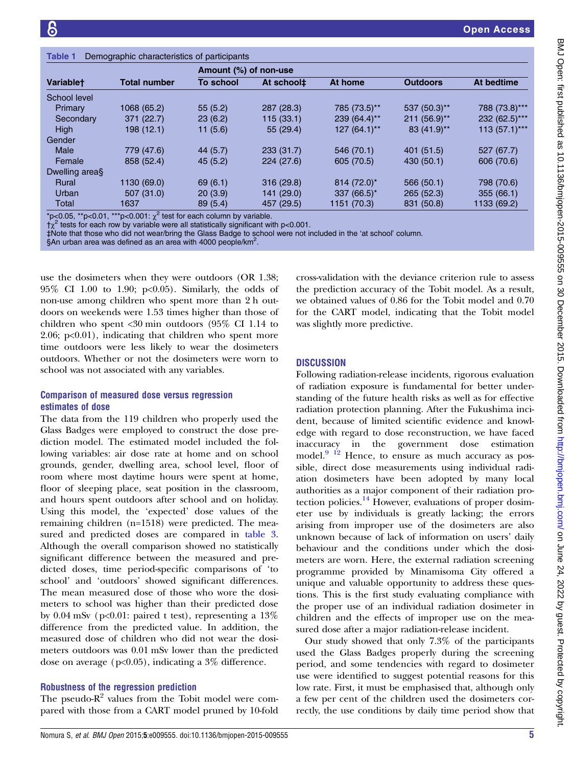<span id="page-4-0"></span>

|                 |                     | Amount (%) of non-use |            |                |                 |               |  |
|-----------------|---------------------|-----------------------|------------|----------------|-----------------|---------------|--|
| Variablet       | <b>Total number</b> | <b>To school</b>      | At school# | At home        | <b>Outdoors</b> | At bedtime    |  |
| School level    |                     |                       |            |                |                 |               |  |
| Primary         | 1068 (65.2)         | 55(5.2)               | 287 (28.3) | 785 (73.5)**   | 537 (50.3)**    | 788 (73.8)*** |  |
| Secondary       | 371 (22.7)          | 23(6.2)               | 115(33.1)  | $239(64.4)$ ** | 211 (56.9)**    | 232 (62.5)*** |  |
| <b>High</b>     | 198 (12.1)          | 11(5.6)               | 55(29.4)   | $127(64.1)$ ** | 83 (41.9)**     | $113(57.1***$ |  |
| Gender          |                     |                       |            |                |                 |               |  |
| Male            | 779 (47.6)          | 44(5.7)               | 233(31.7)  | 546 (70.1)     | 401 (51.5)      | 527 (67.7)    |  |
| Female          | 858 (52.4)          | 45(5.2)               | 224(27.6)  | 605 (70.5)     | 430 (50.1)      | 606 (70.6)    |  |
| Dwelling area\$ |                     |                       |            |                |                 |               |  |
| Rural           | 1130 (69.0)         | 69(6.1)               | 316 (29.8) | 814 (72.0)*    | 566 (50.1)      | 798 (70.6)    |  |
| Urban           | 507(31.0)           | 20(3.9)               | 141 (29.0) | $337(66.5)^*$  | 265 (52.3)      | 355(66.1)     |  |
| Total           | 1637                | 89(5.4)               | 457 (29.5) | 1151 (70.3)    | 831 (50.8)      | 1133 (69.2)   |  |

\*p<0.05, \*\*p<0.01, \*\*\*p<0.001:  $\chi^2$  test for each column by variable.

 $\tau \chi^2$  tests for each row by variable were all statistically significant with p<0.001.

‡Note that those who did not wear/bring the Glass Badge to school were not included in the 'at school' column.

 $\text{\$An urban area was defined as an area with 4000 people/km<sup>2</sup>.}$ 

use the dosimeters when they were outdoors (OR 1.38; 95% CI 1.00 to 1.90; p<0.05). Similarly, the odds of non-use among children who spent more than 2 h outdoors on weekends were 1.53 times higher than those of children who spent <30 min outdoors (95% CI 1.14 to 2.06; p<0.01), indicating that children who spent more time outdoors were less likely to wear the dosimeters outdoors. Whether or not the dosimeters were worn to school was not associated with any variables.

# Comparison of measured dose versus regression estimates of dose

The data from the 119 children who properly used the Glass Badges were employed to construct the dose prediction model. The estimated model included the following variables: air dose rate at home and on school grounds, gender, dwelling area, school level, floor of room where most daytime hours were spent at home, floor of sleeping place, seat position in the classroom, and hours spent outdoors after school and on holiday. Using this model, the 'expected' dose values of the remaining children (n=1518) were predicted. The measured and predicted doses are compared in [table 3.](#page-6-0) Although the overall comparison showed no statistically significant difference between the measured and predicted doses, time period-specific comparisons of 'to school' and 'outdoors' showed significant differences. The mean measured dose of those who wore the dosimeters to school was higher than their predicted dose by 0.04 mSv ( $p<0.01$ : paired t test), representing a 13% difference from the predicted value. In addition, the measured dose of children who did not wear the dosimeters outdoors was 0.01 mSv lower than the predicted dose on average (p<0.05), indicating a 3% difference.

## Robustness of the regression prediction

The pseudo- $R^2$  values from the Tobit model were compared with those from a CART model pruned by 10-fold

cross-validation with the deviance criterion rule to assess the prediction accuracy of the Tobit model. As a result, we obtained values of 0.86 for the Tobit model and 0.70 for the CART model, indicating that the Tobit model was slightly more predictive.

## **DISCUSSION**

Following radiation-release incidents, rigorous evaluation of radiation exposure is fundamental for better understanding of the future health risks as well as for effective radiation protection planning. After the Fukushima incident, because of limited scientific evidence and knowledge with regard to dose reconstruction, we have faced inaccuracy in the government dose estimation model. $9\frac{1}{2}$  Hence, to ensure as much accuracy as possible, direct dose measurements using individual radiation dosimeters have been adopted by many local authorities as a major component of their radiation protection policies.[14](#page-8-0) However, evaluations of proper dosimeter use by individuals is greatly lacking; the errors arising from improper use of the dosimeters are also unknown because of lack of information on users' daily behaviour and the conditions under which the dosimeters are worn. Here, the external radiation screening programme provided by Minamisoma City offered a unique and valuable opportunity to address these questions. This is the first study evaluating compliance with the proper use of an individual radiation dosimeter in children and the effects of improper use on the measured dose after a major radiation-release incident.

Our study showed that only 7.3% of the participants used the Glass Badges properly during the screening period, and some tendencies with regard to dosimeter use were identified to suggest potential reasons for this low rate. First, it must be emphasised that, although only a few per cent of the children used the dosimeters correctly, the use conditions by daily time period show that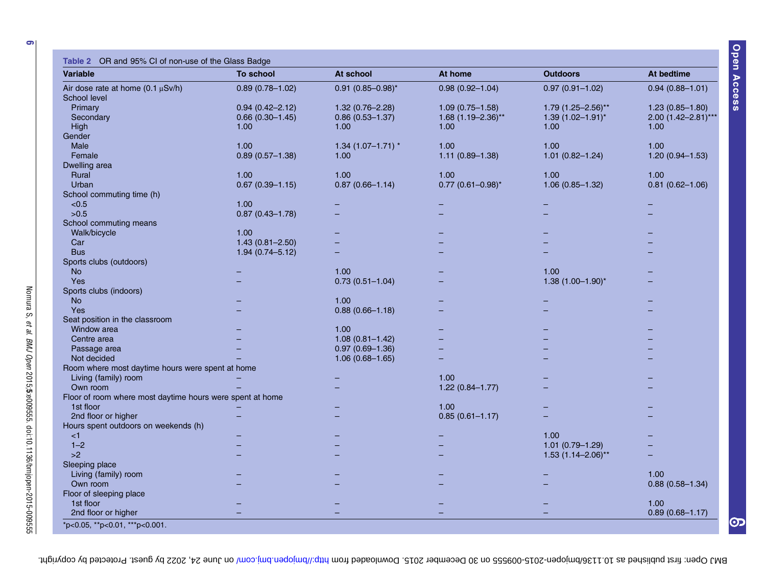<span id="page-5-0"></span>

| Variable                                                  | <b>To school</b>    | At school             | At home                     | <b>Outdoors</b>         | At bedtime          |
|-----------------------------------------------------------|---------------------|-----------------------|-----------------------------|-------------------------|---------------------|
| Air dose rate at home $(0.1 \,\mu\text{Sv/h})$            | $0.89(0.78 - 1.02)$ | $0.91$ (0.85-0.98)*   | $0.98(0.92 - 1.04)$         | $0.97(0.91 - 1.02)$     | $0.94(0.88 - 1.01)$ |
| School level                                              |                     |                       |                             |                         |                     |
| Primary                                                   | $0.94(0.42 - 2.12)$ | $1.32(0.76 - 2.28)$   | $1.09(0.75 - 1.58)$         | $1.79$ (1.25-2.56)**    | $1.23(0.85 - 1.80)$ |
| Secondary                                                 | $0.66(0.30 - 1.45)$ | $0.86(0.53 - 1.37)$   | $1.68$ (1.19-2.36)**        | $1.39(1.02 - 1.91)^{*}$ | 2.00 (1.42-2.81)*** |
| High                                                      | 1.00                | 1.00                  | 1.00                        | 1.00                    | 1.00                |
| Gender                                                    |                     |                       |                             |                         |                     |
| <b>Male</b>                                               | 1.00                | $1.34(1.07 - 1.71)$ * | 1.00                        | 1.00                    | 1.00                |
| Female                                                    | $0.89(0.57 - 1.38)$ | 1.00                  | $1.11(0.89 - 1.38)$         | $1.01(0.82 - 1.24)$     | $1.20(0.94 - 1.53)$ |
| Dwelling area                                             |                     |                       |                             |                         |                     |
| Rural                                                     | 1.00                | 1.00                  | 1.00                        | 1.00                    | 1.00                |
| Urban                                                     | $0.67(0.39 - 1.15)$ | $0.87(0.66 - 1.14)$   | $0.77$ (0.61-0.98)*         | $1.06(0.85 - 1.32)$     | $0.81(0.62 - 1.06)$ |
| School commuting time (h)                                 |                     |                       |                             |                         |                     |
| < 0.5                                                     | 1.00                |                       |                             |                         |                     |
| >0.5                                                      | $0.87(0.43 - 1.78)$ |                       |                             |                         |                     |
| School commuting means                                    |                     |                       |                             |                         |                     |
| Walk/bicycle                                              | 1.00                |                       |                             |                         |                     |
| Car                                                       | $1.43(0.81 - 2.50)$ |                       |                             |                         |                     |
| <b>Bus</b>                                                | $1.94(0.74 - 5.12)$ |                       |                             |                         |                     |
| Sports clubs (outdoors)                                   |                     |                       |                             |                         |                     |
| <b>No</b>                                                 |                     | 1.00                  |                             | 1.00                    |                     |
| Yes                                                       |                     | $0.73(0.51 - 1.04)$   |                             | $1.38(1.00 - 1.90)^{*}$ |                     |
|                                                           |                     |                       |                             |                         |                     |
| Sports clubs (indoors)<br><b>No</b>                       |                     | 1.00                  |                             |                         |                     |
| Yes                                                       |                     | $0.88(0.66 - 1.18)$   |                             |                         |                     |
| Seat position in the classroom                            |                     |                       |                             |                         |                     |
| Window area                                               |                     | 1.00                  |                             |                         |                     |
| Centre area                                               |                     | $1.08(0.81 - 1.42)$   |                             |                         |                     |
|                                                           |                     | $0.97(0.69 - 1.36)$   |                             |                         |                     |
| Passage area<br>Not decided                               |                     |                       |                             |                         |                     |
| Room where most daytime hours were spent at home          |                     | $1.06(0.68 - 1.65)$   |                             |                         |                     |
|                                                           |                     |                       | 1.00                        |                         |                     |
| Living (family) room<br>Own room                          |                     |                       |                             |                         |                     |
|                                                           |                     |                       | $1.22(0.84 - 1.77)$         |                         |                     |
| Floor of room where most daytime hours were spent at home |                     |                       |                             |                         |                     |
| 1st floor<br>2nd floor or higher                          |                     |                       | 1.00<br>$0.85(0.61 - 1.17)$ |                         |                     |
|                                                           |                     |                       |                             |                         |                     |
| Hours spent outdoors on weekends (h)                      |                     |                       |                             | 1.00                    |                     |
| <1<br>$1 - 2$                                             |                     |                       | $\overline{\phantom{0}}$    |                         |                     |
|                                                           |                     |                       |                             | $1.01(0.79 - 1.29)$     |                     |
| $>2$                                                      |                     |                       |                             | $1.53(1.14 - 2.06)$ **  |                     |
| Sleeping place                                            |                     |                       |                             |                         |                     |
| Living (family) room                                      |                     |                       |                             |                         | 1.00                |
| Own room                                                  |                     |                       |                             |                         | $0.88(0.58 - 1.34)$ |
| Floor of sleeping place                                   |                     |                       |                             |                         |                     |
| 1st floor                                                 |                     |                       |                             |                         | 1.00                |
| 2nd floor or higher                                       |                     |                       |                             |                         | $0.89(0.68 - 1.17)$ |

တ

BMJ Open: first published as 10.11360/mg/open-2005 on 30.000 and December Dumal Depromination. Hure 24, 2022 by guest. Protected by copyright.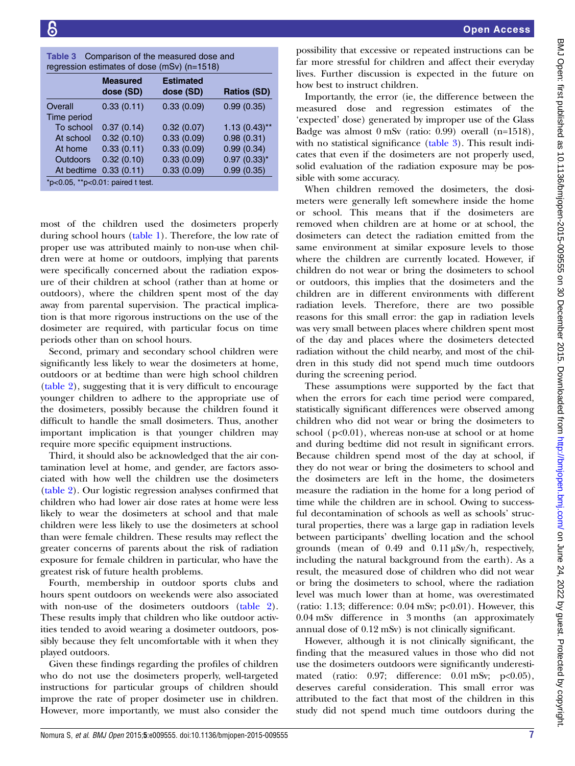| regression estimates of dose (mSv) (n=1518) |                              |                               |                    |  |  |  |  |
|---------------------------------------------|------------------------------|-------------------------------|--------------------|--|--|--|--|
|                                             | <b>Measured</b><br>dose (SD) | <b>Estimated</b><br>dose (SD) | <b>Ratios (SD)</b> |  |  |  |  |
| Overall                                     | 0.33(0.11)                   | 0.33(0.09)                    | 0.99(0.35)         |  |  |  |  |
| Time period                                 |                              |                               |                    |  |  |  |  |
| To school                                   | 0.37(0.14)                   | 0.32(0.07)                    | $1.13(0.43)$ **    |  |  |  |  |
| At school                                   | 0.32(0.10)                   | 0.33(0.09)                    | 0.98(0.31)         |  |  |  |  |
| At home                                     | 0.33(0.11)                   | 0.33(0.09)                    | 0.99(0.34)         |  |  |  |  |
| <b>Outdoors</b>                             | 0.32(0.10)                   | 0.33(0.09)                    | $0.97(0.33)^{*}$   |  |  |  |  |
| At bedtime                                  | 0.33(0.11)                   | 0.33(0.09)                    | 0.99(0.35)         |  |  |  |  |
| *p<0.05, **p<0.01: paired t test.           |                              |                               |                    |  |  |  |  |

<span id="page-6-0"></span>Table 3 Comparison of the measured dose and

most of the children used the dosimeters properly during school hours [\(table 1](#page-4-0)). Therefore, the low rate of proper use was attributed mainly to non-use when children were at home or outdoors, implying that parents were specifically concerned about the radiation exposure of their children at school (rather than at home or outdoors), where the children spent most of the day away from parental supervision. The practical implication is that more rigorous instructions on the use of the dosimeter are required, with particular focus on time periods other than on school hours.

Second, primary and secondary school children were significantly less likely to wear the dosimeters at home, outdoors or at bedtime than were high school children [\(table 2\)](#page-5-0), suggesting that it is very difficult to encourage younger children to adhere to the appropriate use of the dosimeters, possibly because the children found it difficult to handle the small dosimeters. Thus, another important implication is that younger children may require more specific equipment instructions.

Third, it should also be acknowledged that the air contamination level at home, and gender, are factors associated with how well the children use the dosimeters [\(table 2\)](#page-5-0). Our logistic regression analyses confirmed that children who had lower air dose rates at home were less likely to wear the dosimeters at school and that male children were less likely to use the dosimeters at school than were female children. These results may reflect the greater concerns of parents about the risk of radiation exposure for female children in particular, who have the greatest risk of future health problems.

Fourth, membership in outdoor sports clubs and hours spent outdoors on weekends were also associated with non-use of the dosimeters outdoors [\(table 2\)](#page-5-0). These results imply that children who like outdoor activities tended to avoid wearing a dosimeter outdoors, possibly because they felt uncomfortable with it when they played outdoors.

Given these findings regarding the profiles of children who do not use the dosimeters properly, well-targeted instructions for particular groups of children should improve the rate of proper dosimeter use in children. However, more importantly, we must also consider the

possibility that excessive or repeated instructions can be far more stressful for children and affect their everyday lives. Further discussion is expected in the future on how best to instruct children.

Importantly, the error (ie, the difference between the measured dose and regression estimates of the 'expected' dose) generated by improper use of the Glass Badge was almost 0 mSv (ratio: 0.99) overall (n=1518), with no statistical significance (table 3). This result indicates that even if the dosimeters are not properly used, solid evaluation of the radiation exposure may be possible with some accuracy.

When children removed the dosimeters, the dosimeters were generally left somewhere inside the home or school. This means that if the dosimeters are removed when children are at home or at school, the dosimeters can detect the radiation emitted from the same environment at similar exposure levels to those where the children are currently located. However, if children do not wear or bring the dosimeters to school or outdoors, this implies that the dosimeters and the children are in different environments with different radiation levels. Therefore, there are two possible reasons for this small error: the gap in radiation levels was very small between places where children spent most of the day and places where the dosimeters detected radiation without the child nearby, and most of the children in this study did not spend much time outdoors during the screening period.

These assumptions were supported by the fact that when the errors for each time period were compared, statistically significant differences were observed among children who did not wear or bring the dosimeters to school ( $p<0.01$ ), whereas non-use at school or at home and during bedtime did not result in significant errors. Because children spend most of the day at school, if they do not wear or bring the dosimeters to school and the dosimeters are left in the home, the dosimeters measure the radiation in the home for a long period of time while the children are in school. Owing to successful decontamination of schools as well as schools' structural properties, there was a large gap in radiation levels between participants' dwelling location and the school grounds (mean of 0.49 and  $0.11 \mu Sv/h$ , respectively, including the natural background from the earth). As a result, the measured dose of children who did not wear or bring the dosimeters to school, where the radiation level was much lower than at home, was overestimated (ratio: 1.13; difference: 0.04 mSv; p<0.01). However, this 0.04 mSv difference in 3 months (an approximately annual dose of 0.12 mSv) is not clinically significant.

However, although it is not clinically significant, the finding that the measured values in those who did not use the dosimeters outdoors were significantly underestimated (ratio:  $0.97$ ; difference:  $0.01$  mSv;  $p<0.05$ ), deserves careful consideration. This small error was attributed to the fact that most of the children in this study did not spend much time outdoors during the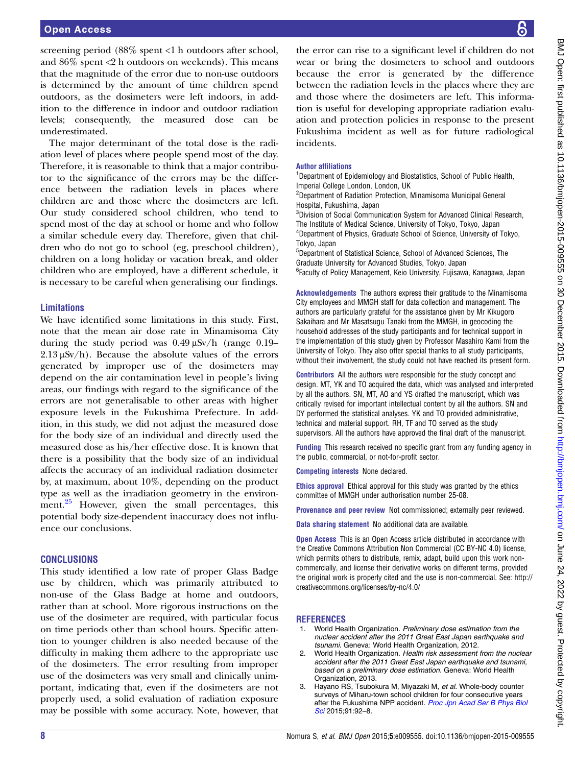<span id="page-7-0"></span>screening period (88% spent <1 h outdoors after school, and 86% spent <2 h outdoors on weekends). This means that the magnitude of the error due to non-use outdoors is determined by the amount of time children spend outdoors, as the dosimeters were left indoors, in addition to the difference in indoor and outdoor radiation levels; consequently, the measured dose can be underestimated.

The major determinant of the total dose is the radiation level of places where people spend most of the day. Therefore, it is reasonable to think that a major contributor to the significance of the errors may be the difference between the radiation levels in places where children are and those where the dosimeters are left. Our study considered school children, who tend to spend most of the day at school or home and who follow a similar schedule every day. Therefore, given that children who do not go to school (eg, preschool children), children on a long holiday or vacation break, and older children who are employed, have a different schedule, it is necessary to be careful when generalising our findings.

#### Limitations

We have identified some limitations in this study. First, note that the mean air dose rate in Minamisoma City during the study period was  $0.49 \mu Sv/h$  (range  $0.19 2.13 \mu Sv/h$ ). Because the absolute values of the errors generated by improper use of the dosimeters may depend on the air contamination level in people's living areas, our findings with regard to the significance of the errors are not generalisable to other areas with higher exposure levels in the Fukushima Prefecture. In addition, in this study, we did not adjust the measured dose for the body size of an individual and directly used the measured dose as his/her effective dose. It is known that there is a possibility that the body size of an individual affects the accuracy of an individual radiation dosimeter by, at maximum, about 10%, depending on the product type as well as the irradiation geometry in the environ-ment.<sup>[25](#page-8-0)</sup> However, given the small percentages, this potential body size-dependent inaccuracy does not influence our conclusions.

#### **CONCLUSIONS**

This study identified a low rate of proper Glass Badge use by children, which was primarily attributed to non-use of the Glass Badge at home and outdoors, rather than at school. More rigorous instructions on the use of the dosimeter are required, with particular focus on time periods other than school hours. Specific attention to younger children is also needed because of the difficulty in making them adhere to the appropriate use of the dosimeters. The error resulting from improper use of the dosimeters was very small and clinically unimportant, indicating that, even if the dosimeters are not properly used, a solid evaluation of radiation exposure may be possible with some accuracy. Note, however, that

the error can rise to a significant level if children do not wear or bring the dosimeters to school and outdoors because the error is generated by the difference between the radiation levels in the places where they are and those where the dosimeters are left. This information is useful for developing appropriate radiation evaluation and protection policies in response to the present Fukushima incident as well as for future radiological incidents.

#### Author affiliations

<sup>1</sup>Department of Epidemiology and Biostatistics, School of Public Health, Imperial College London, London, UK

<sup>2</sup>Department of Radiation Protection, Minamisoma Municipal General Hospital, Fukushima, Japan

<sup>3</sup>Division of Social Communication System for Advanced Clinical Research, The Institute of Medical Science, University of Tokyo, Tokyo, Japan 4 Department of Physics, Graduate School of Science, University of Tokyo, Tokyo, Japan

5 Department of Statistical Science, School of Advanced Sciences, The Graduate University for Advanced Studies, Tokyo, Japan

6 Faculty of Policy Management, Keio University, Fujisawa, Kanagawa, Japan

Acknowledgements The authors express their gratitude to the Minamisoma City employees and MMGH staff for data collection and management. The authors are particularly grateful for the assistance given by Mr Kikugoro Sakaihara and Mr Masatsugu Tanaki from the MMGH, in geocoding the household addresses of the study participants and for technical support in the implementation of this study given by Professor Masahiro Kami from the University of Tokyo. They also offer special thanks to all study participants, without their involvement, the study could not have reached its present form.

Contributors All the authors were responsible for the study concept and design. MT, YK and TO acquired the data, which was analysed and interpreted by all the authors. SN, MT, AO and YS drafted the manuscript, which was critically revised for important intellectual content by all the authors. SN and DY performed the statistical analyses. YK and TO provided administrative, technical and material support. RH, TF and TO served as the study supervisors. All the authors have approved the final draft of the manuscript.

Funding This research received no specific grant from any funding agency in the public, commercial, or not-for-profit sector.

Competing interests None declared.

Ethics approval Ethical approval for this study was granted by the ethics committee of MMGH under authorisation number 25-08.

Provenance and peer review Not commissioned; externally peer reviewed.

Data sharing statement No additional data are available.

**Open Access** This is an Open Access article distributed in accordance with the Creative Commons Attribution Non Commercial (CC BY-NC 4.0) license, which permits others to distribute, remix, adapt, build upon this work noncommercially, and license their derivative works on different terms, provided the original work is properly cited and the use is non-commercial. See: [http://](http://creativecommons.org/licenses/by-nc/4.0/) [creativecommons.org/licenses/by-nc/4.0/](http://creativecommons.org/licenses/by-nc/4.0/)

#### **REFERENCES**

- 1. World Health Organization. Preliminary dose estimation from the nuclear accident after the 2011 Great East Japan earthquake and tsunami. Geneva: World Health Organization, 2012.
- World Health Organization. Health risk assessment from the nuclear accident after the 2011 Great East Japan earthquake and tsunami, based on a preliminary dose estimation. Geneva: World Health Organization, 2013.
- Hayano RS, Tsubokura M, Miyazaki M, et al. Whole-body counter surveys of Miharu-town school children for four consecutive years after the Fukushima NPP accident. [Proc Jpn Acad Ser B Phys Biol](http://dx.doi.org/10.2183/pjab.91.92) [Sci](http://dx.doi.org/10.2183/pjab.91.92) 2015;91:92–8.